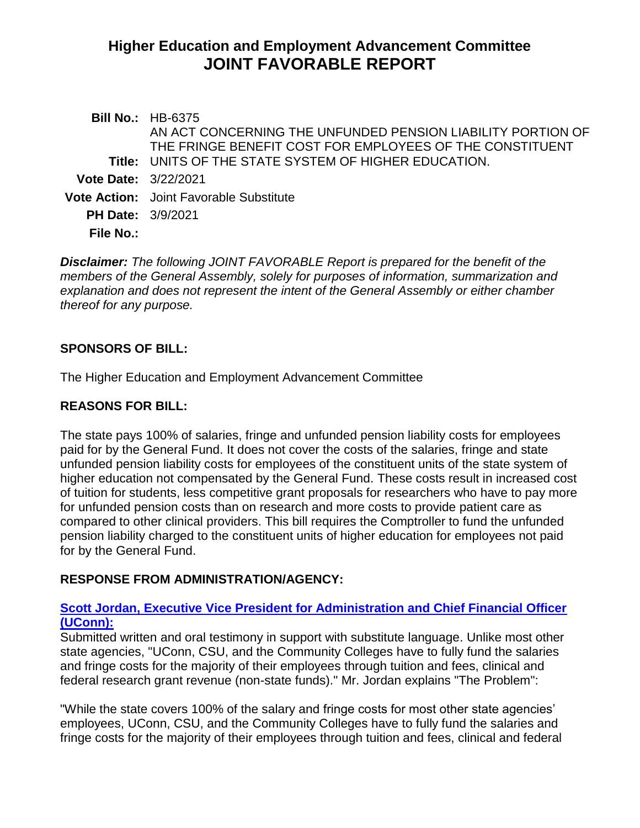# **Higher Education and Employment Advancement Committee JOINT FAVORABLE REPORT**

|                             | <b>Bill No.: HB-6375</b>                                    |
|-----------------------------|-------------------------------------------------------------|
|                             | AN ACT CONCERNING THE UNFUNDED PENSION LIABILITY PORTION OF |
|                             | THE FRINGE BENEFIT COST FOR EMPLOYEES OF THE CONSTITUENT    |
|                             | Title: UNITS OF THE STATE SYSTEM OF HIGHER EDUCATION.       |
| <b>Vote Date: 3/22/2021</b> |                                                             |
|                             | <b>Vote Action:</b> Joint Favorable Substitute              |
| <b>PH Date: 3/9/2021</b>    |                                                             |
| File No.:                   |                                                             |
|                             |                                                             |

*Disclaimer: The following JOINT FAVORABLE Report is prepared for the benefit of the members of the General Assembly, solely for purposes of information, summarization and explanation and does not represent the intent of the General Assembly or either chamber thereof for any purpose.*

### **SPONSORS OF BILL:**

The Higher Education and Employment Advancement Committee

### **REASONS FOR BILL:**

The state pays 100% of salaries, fringe and unfunded pension liability costs for employees paid for by the General Fund. It does not cover the costs of the salaries, fringe and state unfunded pension liability costs for employees of the constituent units of the state system of higher education not compensated by the General Fund. These costs result in increased cost of tuition for students, less competitive grant proposals for researchers who have to pay more for unfunded pension costs than on research and more costs to provide patient care as compared to other clinical providers. This bill requires the Comptroller to fund the unfunded pension liability charged to the constituent units of higher education for employees not paid for by the General Fund.

### **RESPONSE FROM ADMINISTRATION/AGENCY:**

### **[Scott Jordan, Executive Vice President for Administration and Chief Financial Officer](https://www.cga.ct.gov/2021/HEDdata/Tmy/2021HB-06375-R000309-Jordan,%20Scott,%20CFO%20-%20VP%20of%20Administration-UCONN-TMY.PDF)  [\(UConn\):](https://www.cga.ct.gov/2021/HEDdata/Tmy/2021HB-06375-R000309-Jordan,%20Scott,%20CFO%20-%20VP%20of%20Administration-UCONN-TMY.PDF)**

Submitted written and oral testimony in support with substitute language. Unlike most other state agencies, "UConn, CSU, and the Community Colleges have to fully fund the salaries and fringe costs for the majority of their employees through tuition and fees, clinical and federal research grant revenue (non-state funds)." Mr. Jordan explains "The Problem":

"While the state covers 100% of the salary and fringe costs for most other state agencies' employees, UConn, CSU, and the Community Colleges have to fully fund the salaries and fringe costs for the majority of their employees through tuition and fees, clinical and federal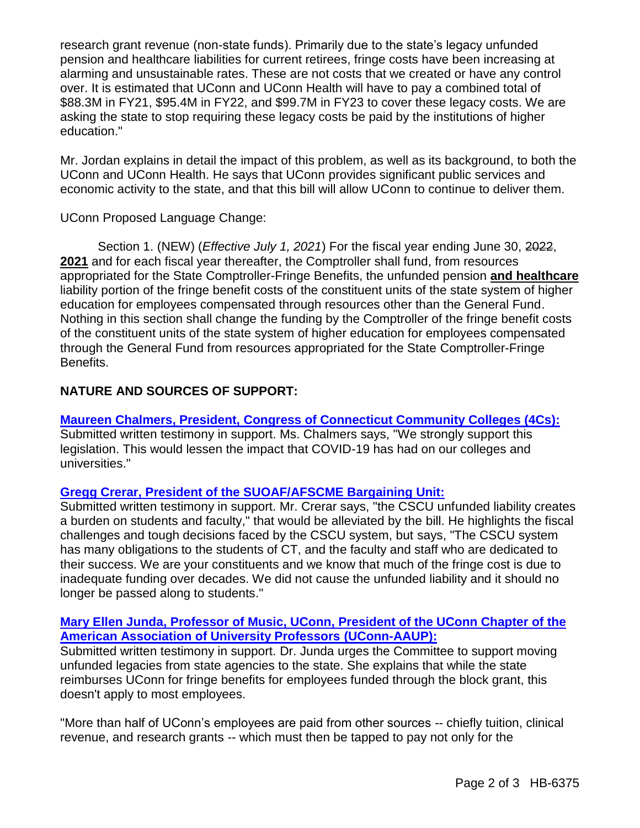research grant revenue (non-state funds). Primarily due to the state's legacy unfunded pension and healthcare liabilities for current retirees, fringe costs have been increasing at alarming and unsustainable rates. These are not costs that we created or have any control over. It is estimated that UConn and UConn Health will have to pay a combined total of \$88.3M in FY21, \$95.4M in FY22, and \$99.7M in FY23 to cover these legacy costs. We are asking the state to stop requiring these legacy costs be paid by the institutions of higher education."

Mr. Jordan explains in detail the impact of this problem, as well as its background, to both the UConn and UConn Health. He says that UConn provides significant public services and economic activity to the state, and that this bill will allow UConn to continue to deliver them.

UConn Proposed Language Change:

Section 1. (NEW) (*Effective July 1, 2021*) For the fiscal year ending June 30, 2022, **2021** and for each fiscal year thereafter, the Comptroller shall fund, from resources appropriated for the State Comptroller-Fringe Benefits, the unfunded pension **and healthcare** liability portion of the fringe benefit costs of the constituent units of the state system of higher education for employees compensated through resources other than the General Fund. Nothing in this section shall change the funding by the Comptroller of the fringe benefit costs of the constituent units of the state system of higher education for employees compensated through the General Fund from resources appropriated for the State Comptroller-Fringe Benefits.

# **NATURE AND SOURCES OF SUPPORT:**

**Maureen Chalmers, President, [Congress of Connecticut Community Colleges \(4Cs\):](https://www.cga.ct.gov/2021/HEDdata/Tmy/2021HB-06375-R000309-Chalmers,%20Maureen,%20President-Congress%20of%20CT%20Community%20Colleges-TMY.PDF)** Submitted written testimony in support. Ms. Chalmers says, "We strongly support this legislation. This would lessen the impact that COVID-19 has had on our colleges and universities."

## **[Gregg Crerar, President of the SUOAF/AFSCME Bargaining Unit:](https://www.cga.ct.gov/2021/HEDdata/Tmy/2021HB-06375-R000309-Crerar,%20Gregg,%20President-SUOAF-AFSCME-TMY.PDF)**

Submitted written testimony in support. Mr. Crerar says, "the CSCU unfunded liability creates a burden on students and faculty," that would be alleviated by the bill. He highlights the fiscal challenges and tough decisions faced by the CSCU system, but says, "The CSCU system has many obligations to the students of CT, and the faculty and staff who are dedicated to their success. We are your constituents and we know that much of the fringe cost is due to inadequate funding over decades. We did not cause the unfunded liability and it should no longer be passed along to students."

### **Mary Ellen Junda, Professor of Music, UConn, [President of the UConn Chapter of the](https://www.cga.ct.gov/2021/HEDdata/Tmy/2021HB-06375-R000309-Junda,%20Mary,%20President-UCONN-AAUP-TMY.PDF)  [American Association of University Professors \(UConn-AAUP\):](https://www.cga.ct.gov/2021/HEDdata/Tmy/2021HB-06375-R000309-Junda,%20Mary,%20President-UCONN-AAUP-TMY.PDF)**

Submitted written testimony in support. Dr. Junda urges the Committee to support moving unfunded legacies from state agencies to the state. She explains that while the state reimburses UConn for fringe benefits for employees funded through the block grant, this doesn't apply to most employees.

"More than half of UConn's employees are paid from other sources -- chiefly tuition, clinical revenue, and research grants -- which must then be tapped to pay not only for the